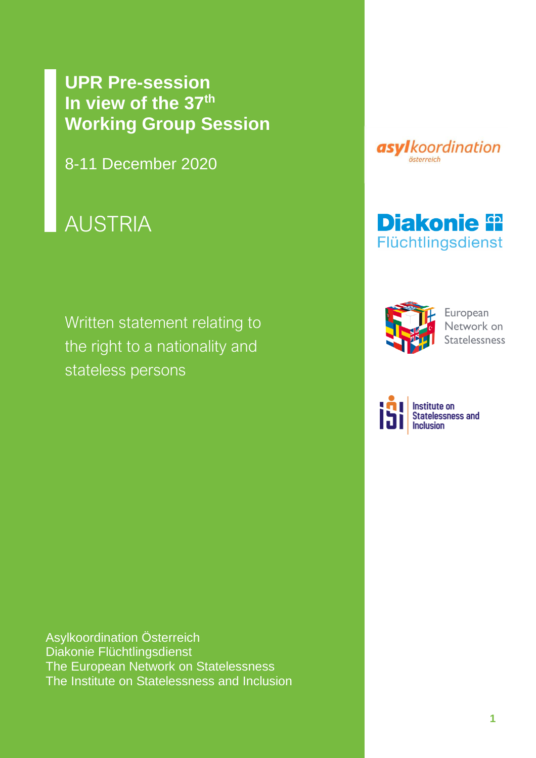# **UPR Pre-session In view of the 37th Working Group Session**

8-11 December 2020

# AUSTRIA

Written statement relating to the right to a nationality and the right statelessness stateless persons

Asylkoordination Österreich Diakonie Flüchtlingsdienst The European Network on Statelessness The Institute on Statelessness and Inclusion







European Network on

**Institute on** Statelessness and **Inclusion**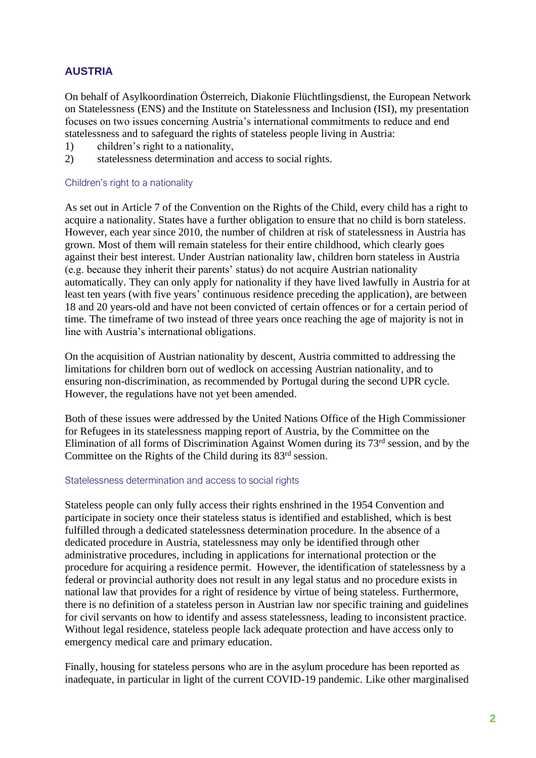## **AUSTRIA**

On behalf of Asylkoordination Österreich, Diakonie Flüchtlingsdienst, the European Network on Statelessness (ENS) and the Institute on Statelessness and Inclusion (ISI), my presentation focuses on two issues concerning Austria's international commitments to reduce and end statelessness and to safeguard the rights of stateless people living in Austria:

- 1) children's right to a nationality,
- 2) statelessness determination and access to social rights.

#### Children's right to a nationality

As set out in Article 7 of the Convention on the Rights of the Child, every child has a right to acquire a nationality. States have a further obligation to ensure that no child is born stateless. However, each year since 2010, the number of children at risk of statelessness in Austria has grown. Most of them will remain stateless for their entire childhood, which clearly goes against their best interest. Under Austrian nationality law, children born stateless in Austria (e.g. because they inherit their parents' status) do not acquire Austrian nationality automatically. They can only apply for nationality if they have lived lawfully in Austria for at least ten years (with five years' continuous residence preceding the application), are between 18 and 20 years-old and have not been convicted of certain offences or for a certain period of time. The timeframe of two instead of three years once reaching the age of majority is not in line with Austria's international obligations.

On the acquisition of Austrian nationality by descent, Austria committed to addressing the limitations for children born out of wedlock on accessing Austrian nationality, and to ensuring non-discrimination, as recommended by Portugal during the second UPR cycle. However, the regulations have not yet been amended.

Both of these issues were addressed by the United Nations Office of the High Commissioner for Refugees in its statelessness mapping report of Austria, by the Committee on the Elimination of all forms of Discrimination Against Women during its 73rd session, and by the Committee on the Rights of the Child during its 83<sup>rd</sup> session.

#### Statelessness determination and access to social rights

Stateless people can only fully access their rights enshrined in the 1954 Convention and participate in society once their stateless status is identified and established, which is best fulfilled through a dedicated statelessness determination procedure. In the absence of a dedicated procedure in Austria, statelessness may only be identified through other administrative procedures, including in applications for international protection or the procedure for acquiring a residence permit. However, the identification of statelessness by a federal or provincial authority does not result in any legal status and no procedure exists in national law that provides for a right of residence by virtue of being stateless. Furthermore, there is no definition of a stateless person in Austrian law nor specific training and guidelines for civil servants on how to identify and assess statelessness, leading to inconsistent practice. Without legal residence, stateless people lack adequate protection and have access only to emergency medical care and primary education.

Finally, housing for stateless persons who are in the asylum procedure has been reported as inadequate, in particular in light of the current COVID-19 pandemic. Like other marginalised